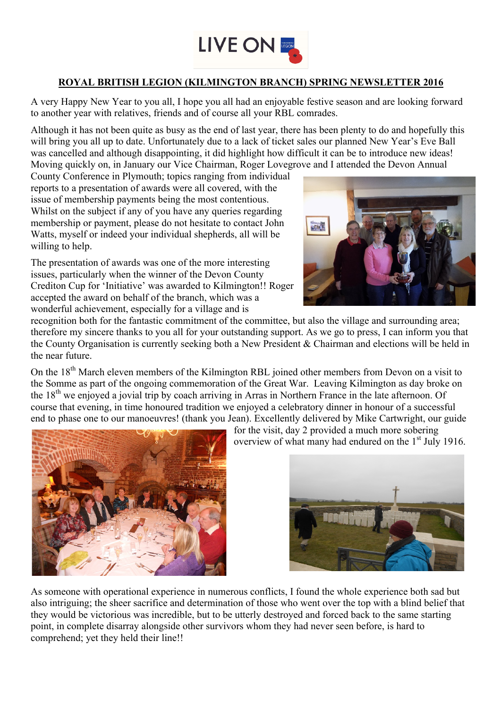

## **ROYAL BRITISH LEGION (KILMINGTON BRANCH) SPRING NEWSLETTER 2016**

A very Happy New Year to you all, I hope you all had an enjoyable festive season and are looking forward to another year with relatives, friends and of course all your RBL comrades.

Although it has not been quite as busy as the end of last year, there has been plenty to do and hopefully this will bring you all up to date. Unfortunately due to a lack of ticket sales our planned New Year's Eve Ball was cancelled and although disappointing, it did highlight how difficult it can be to introduce new ideas! Moving quickly on, in January our Vice Chairman, Roger Lovegrove and I attended the Devon Annual

County Conference in Plymouth; topics ranging from individual reports to a presentation of awards were all covered, with the issue of membership payments being the most contentious. Whilst on the subject if any of you have any queries regarding membership or payment, please do not hesitate to contact John Watts, myself or indeed your individual shepherds, all will be willing to help.

The presentation of awards was one of the more interesting issues, particularly when the winner of the Devon County Crediton Cup for 'Initiative' was awarded to Kilmington!! Roger accepted the award on behalf of the branch, which was a wonderful achievement, especially for a village and is



recognition both for the fantastic commitment of the committee, but also the village and surrounding area; therefore my sincere thanks to you all for your outstanding support. As we go to press, I can inform you that the County Organisation is currently seeking both a New President & Chairman and elections will be held in the near future.

On the 18<sup>th</sup> March eleven members of the Kilmington RBL joined other members from Devon on a visit to the Somme as part of the ongoing commemoration of the Great War. Leaving Kilmington as day broke on the 18th we enjoyed a jovial trip by coach arriving in Arras in Northern France in the late afternoon. Of course that evening, in time honoured tradition we enjoyed a celebratory dinner in honour of a successful end to phase one to our manoeuvres! (thank you Jean). Excellently delivered by Mike Cartwright, our guide



for the visit, day 2 provided a much more sobering overview of what many had endured on the 1<sup>st</sup> July 1916.



As someone with operational experience in numerous conflicts, I found the whole experience both sad but also intriguing; the sheer sacrifice and determination of those who went over the top with a blind belief that they would be victorious was incredible, but to be utterly destroyed and forced back to the same starting point, in complete disarray alongside other survivors whom they had never seen before, is hard to comprehend; yet they held their line!!